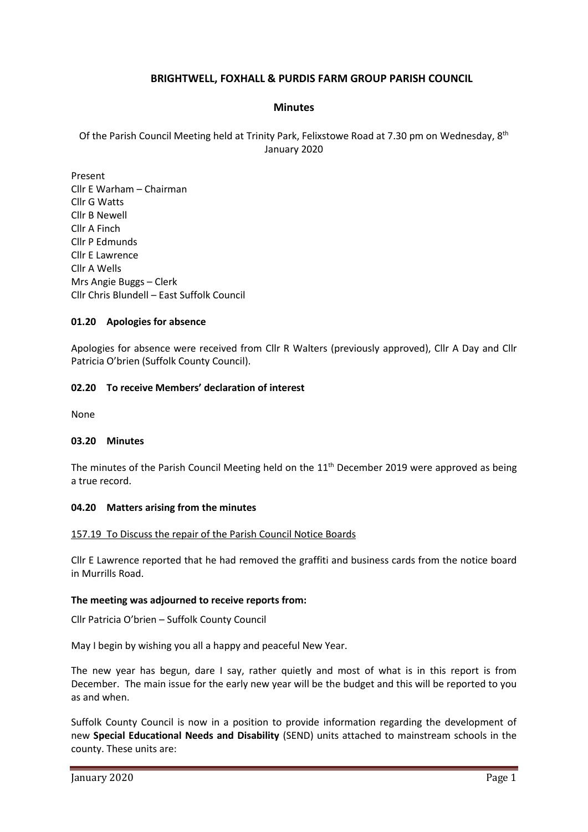# **BRIGHTWELL, FOXHALL & PURDIS FARM GROUP PARISH COUNCIL**

## **Minutes**

Of the Parish Council Meeting held at Trinity Park, Felixstowe Road at 7.30 pm on Wednesday, 8<sup>th</sup> January 2020

Present Cllr E Warham – Chairman Cllr G Watts Cllr B Newell Cllr A Finch Cllr P Edmunds Cllr E Lawrence Cllr A Wells Mrs Angie Buggs – Clerk Cllr Chris Blundell – East Suffolk Council

## **01.20 Apologies for absence**

Apologies for absence were received from Cllr R Walters (previously approved), Cllr A Day and Cllr Patricia O'brien (Suffolk County Council).

## **02.20 To receive Members' declaration of interest**

None

## **03.20 Minutes**

The minutes of the Parish Council Meeting held on the  $11<sup>th</sup>$  December 2019 were approved as being a true record.

## **04.20 Matters arising from the minutes**

## 157.19 To Discuss the repair of the Parish Council Notice Boards

Cllr E Lawrence reported that he had removed the graffiti and business cards from the notice board in Murrills Road.

## **The meeting was adjourned to receive reports from:**

Cllr Patricia O'brien – Suffolk County Council

May I begin by wishing you all a happy and peaceful New Year.

The new year has begun, dare I say, rather quietly and most of what is in this report is from December. The main issue for the early new year will be the budget and this will be reported to you as and when.

Suffolk County Council is now in a position to provide information regarding the development of new **Special Educational Needs and Disability** (SEND) units attached to mainstream schools in the county. These units are: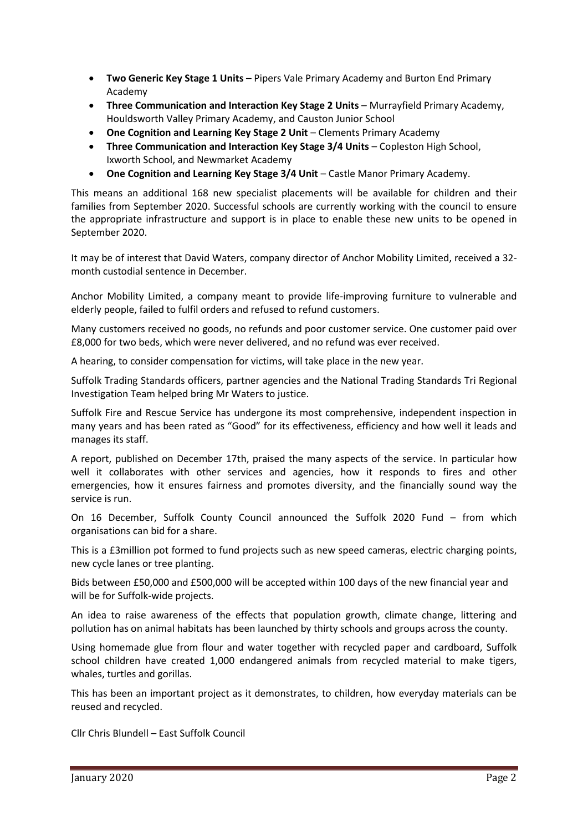- **Two Generic Key Stage 1 Units** Pipers Vale Primary Academy and Burton End Primary Academy
- **Three Communication and Interaction Key Stage 2 Units** Murrayfield Primary Academy, Houldsworth Valley Primary Academy, and Causton Junior School
- **One Cognition and Learning Key Stage 2 Unit** Clements Primary Academy
- **Three Communication and Interaction Key Stage 3/4 Units** Copleston High School, Ixworth School, and Newmarket Academy
- **One Cognition and Learning Key Stage 3/4 Unit** Castle Manor Primary Academy.

This means an additional 168 new specialist placements will be available for children and their families from September 2020. Successful schools are currently working with the council to ensure the appropriate infrastructure and support is in place to enable these new units to be opened in September 2020.

It may be of interest that David Waters, company director of Anchor Mobility Limited, received a 32 month custodial sentence in December.

Anchor Mobility Limited, a company meant to provide life-improving furniture to vulnerable and elderly people, failed to fulfil orders and refused to refund customers.

Many customers received no goods, no refunds and poor customer service. One customer paid over £8,000 for two beds, which were never delivered, and no refund was ever received.

A hearing, to consider compensation for victims, will take place in the new year.

Suffolk Trading Standards officers, partner agencies and the National Trading Standards Tri Regional Investigation Team helped bring Mr Waters to justice.

Suffolk Fire and Rescue Service has undergone its most comprehensive, independent inspection in many years and has been rated as "Good" for its effectiveness, efficiency and how well it leads and manages its staff.

A report, published on December 17th, praised the many aspects of the service. In particular how well it collaborates with other services and agencies, how it responds to fires and other emergencies, how it ensures fairness and promotes diversity, and the financially sound way the service is run.

On 16 December, Suffolk County Council announced the Suffolk 2020 Fund – from which organisations can bid for a share.

This is a £3million pot formed to fund projects such as new speed cameras, electric charging points, new cycle lanes or tree planting.

Bids between £50,000 and £500,000 will be accepted within 100 days of the new financial year and will be for Suffolk-wide projects.

An idea to raise awareness of the effects that population growth, climate change, littering and pollution has on animal habitats has been launched by thirty schools and groups across the county.

Using homemade glue from flour and water together with recycled paper and cardboard, Suffolk school children have created 1,000 endangered animals from recycled material to make tigers, whales, turtles and gorillas.

This has been an important project as it demonstrates, to children, how everyday materials can be reused and recycled.

Cllr Chris Blundell – East Suffolk Council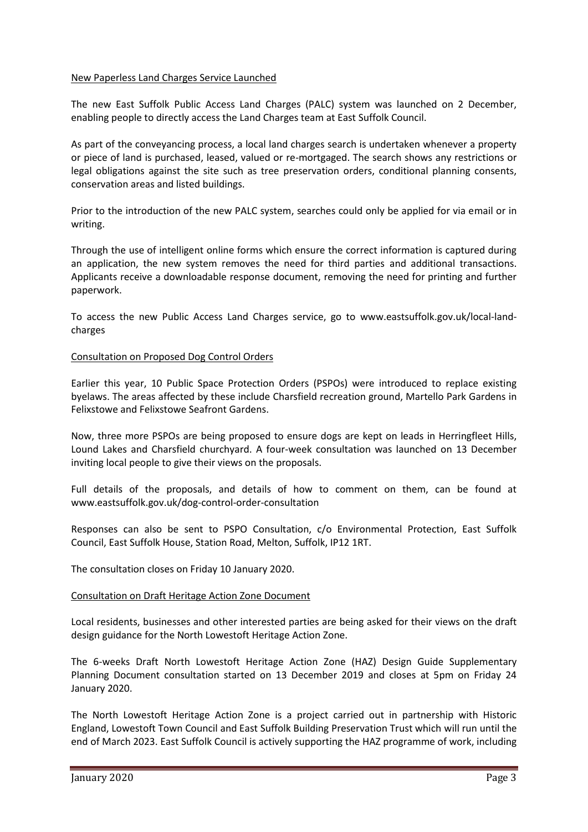## New Paperless Land Charges Service Launched

The new East Suffolk Public Access Land Charges (PALC) system was launched on 2 December, enabling people to directly access the Land Charges team at East Suffolk Council.

As part of the conveyancing process, a local land charges search is undertaken whenever a property or piece of land is purchased, leased, valued or re-mortgaged. The search shows any restrictions or legal obligations against the site such as tree preservation orders, conditional planning consents, conservation areas and listed buildings.

Prior to the introduction of the new PALC system, searches could only be applied for via email or in writing.

Through the use of intelligent online forms which ensure the correct information is captured during an application, the new system removes the need for third parties and additional transactions. Applicants receive a downloadable response document, removing the need for printing and further paperwork.

To access the new Public Access Land Charges service, go to [www.eastsuffolk.gov.uk/local-land](http://www.eastsuffolk.gov.uk/local-land-charges)[charges](http://www.eastsuffolk.gov.uk/local-land-charges)

## Consultation on Proposed Dog Control Orders

Earlier this year, 10 Public Space Protection Orders (PSPOs) were introduced to replace existing byelaws. The areas affected by these include Charsfield recreation ground, Martello Park Gardens in Felixstowe and Felixstowe Seafront Gardens.

Now, three more PSPOs are being proposed to ensure dogs are kept on leads in Herringfleet Hills, Lound Lakes and Charsfield churchyard. A four-week consultation was launched on 13 December inviting local people to give their views on the proposals.

Full details of the proposals, and details of how to comment on them, can be found at [www.eastsuffolk.gov.uk/dog-control-order-consultation](http://www.eastsuffolk.gov.uk/dog-control-order-consultation)

Responses can also be sent to PSPO Consultation, c/o Environmental Protection, East Suffolk Council, East Suffolk House, Station Road, Melton, Suffolk, IP12 1RT.

The consultation closes on Friday 10 January 2020.

## Consultation on Draft Heritage Action Zone Document

Local residents, businesses and other interested parties are being asked for their views on the draft design guidance for the North Lowestoft Heritage Action Zone.

The 6-weeks Draft North Lowestoft Heritage Action Zone (HAZ) Design Guide Supplementary Planning Document consultation started on 13 December 2019 and closes at 5pm on Friday 24 January 2020.

The North Lowestoft Heritage Action Zone is a project carried out in partnership with Historic England, Lowestoft Town Council and East Suffolk Building Preservation Trust which will run until the end of March 2023. East Suffolk Council is actively supporting the HAZ programme of work, including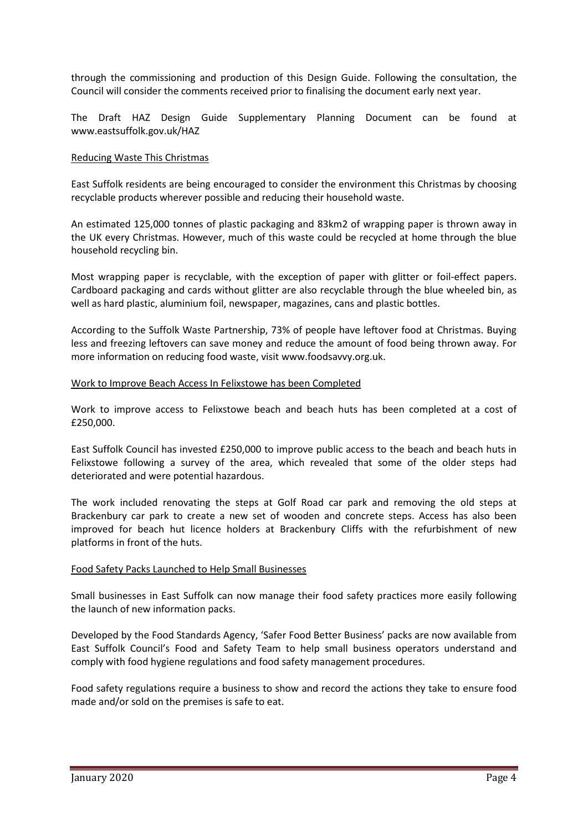through the commissioning and production of this Design Guide. Following the consultation, the Council will consider the comments received prior to finalising the document early next year.

The Draft HAZ Design Guide Supplementary Planning Document can be found at [www.eastsuffolk.gov.uk/HAZ](http://www.eastsuffolk.gov.uk/HAZ)

## Reducing Waste This Christmas

East Suffolk residents are being encouraged to consider the environment this Christmas by choosing recyclable products wherever possible and reducing their household waste.

An estimated 125,000 tonnes of plastic packaging and 83km2 of wrapping paper is thrown away in the UK every Christmas. However, much of this waste could be recycled at home through the blue household recycling bin.

Most wrapping paper is recyclable, with the exception of paper with glitter or foil-effect papers. Cardboard packaging and cards without glitter are also recyclable through the blue wheeled bin, as well as hard plastic, aluminium foil, newspaper, magazines, cans and plastic bottles.

According to the Suffolk Waste Partnership, 73% of people have leftover food at Christmas. Buying less and freezing leftovers can save money and reduce the amount of food being thrown away. For more information on reducing food waste, visit [www.foodsavvy.org.uk.](http://www.foodsavvy.org.uk/)

## Work to Improve Beach Access In Felixstowe has been Completed

Work to improve access to Felixstowe beach and beach huts has been completed at a cost of £250,000.

East Suffolk Council has invested £250,000 to improve public access to the beach and beach huts in Felixstowe following a survey of the area, which revealed that some of the older steps had deteriorated and were potential hazardous.

The work included renovating the steps at Golf Road car park and removing the old steps at Brackenbury car park to create a new set of wooden and concrete steps. Access has also been improved for beach hut licence holders at Brackenbury Cliffs with the refurbishment of new platforms in front of the huts.

## Food Safety Packs Launched to Help Small Businesses

Small businesses in East Suffolk can now manage their food safety practices more easily following the launch of new information packs.

Developed by the Food Standards Agency, 'Safer Food Better Business' packs are now available from East Suffolk Council's Food and Safety Team to help small business operators understand and comply with food hygiene regulations and food safety management procedures.

Food safety regulations require a business to show and record the actions they take to ensure food made and/or sold on the premises is safe to eat.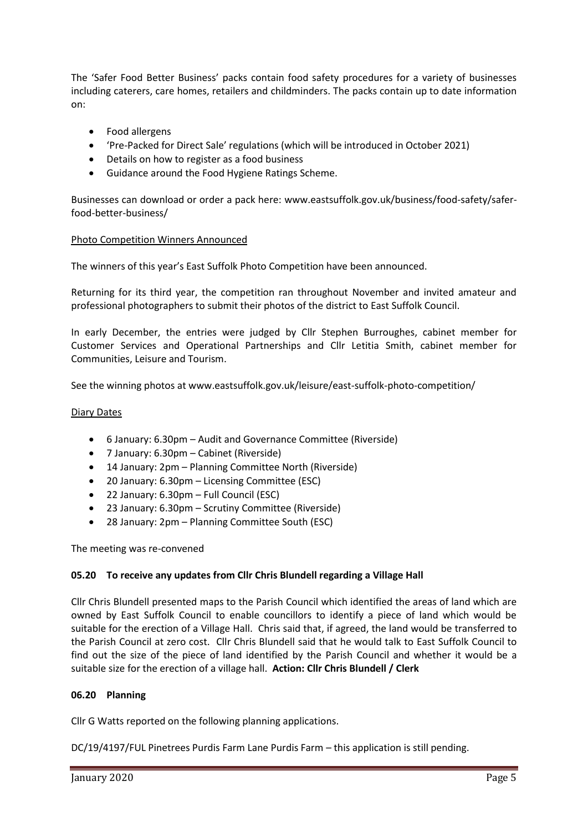The 'Safer Food Better Business' packs contain food safety procedures for a variety of businesses including caterers, care homes, retailers and childminders. The packs contain up to date information on:

- Food allergens
- 'Pre-Packed for Direct Sale' regulations (which will be introduced in October 2021)
- Details on how to register as a food business
- Guidance around the Food Hygiene Ratings Scheme.

Businesses can download or order a pack here: [www.eastsuffolk.gov.uk/business/food-safety/safer](http://www.eastsuffolk.gov.uk/business/food-safety/safer-food-better-business/)[food-better-business/](http://www.eastsuffolk.gov.uk/business/food-safety/safer-food-better-business/)

## Photo Competition Winners Announced

The winners of this year's East Suffolk Photo Competition have been announced.

Returning for its third year, the competition ran throughout November and invited amateur and professional photographers to submit their photos of the district to East Suffolk Council.

In early December, the entries were judged by Cllr Stephen Burroughes, cabinet member for Customer Services and Operational Partnerships and Cllr Letitia Smith, cabinet member for Communities, Leisure and Tourism.

See the winning photos at [www.eastsuffolk.gov.uk/leisure/east-suffolk-photo-competition/](http://www.eastsuffolk.gov.uk/leisure/east-suffolk-photo-competition/)

## Diary Dates

- 6 January: 6.30pm Audit and Governance Committee (Riverside)
- 7 January: 6.30pm Cabinet (Riverside)
- 14 January: 2pm Planning Committee North (Riverside)
- 20 January: 6.30pm Licensing Committee (ESC)
- 22 January: 6.30pm Full Council (ESC)
- 23 January: 6.30pm Scrutiny Committee (Riverside)
- 28 January: 2pm Planning Committee South (ESC)

The meeting was re-convened

## **05.20 To receive any updates from Cllr Chris Blundell regarding a Village Hall**

Cllr Chris Blundell presented maps to the Parish Council which identified the areas of land which are owned by East Suffolk Council to enable councillors to identify a piece of land which would be suitable for the erection of a Village Hall. Chris said that, if agreed, the land would be transferred to the Parish Council at zero cost. Cllr Chris Blundell said that he would talk to East Suffolk Council to find out the size of the piece of land identified by the Parish Council and whether it would be a suitable size for the erection of a village hall. **Action: Cllr Chris Blundell / Clerk**

## **06.20 Planning**

Cllr G Watts reported on the following planning applications.

DC/19/4197/FUL Pinetrees Purdis Farm Lane Purdis Farm – this application is still pending.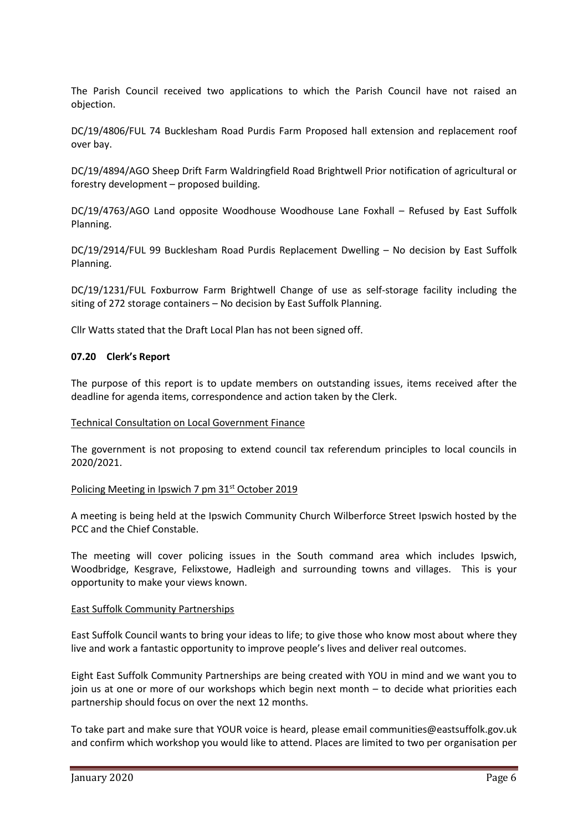The Parish Council received two applications to which the Parish Council have not raised an objection.

DC/19/4806/FUL 74 Bucklesham Road Purdis Farm Proposed hall extension and replacement roof over bay.

DC/19/4894/AGO Sheep Drift Farm Waldringfield Road Brightwell Prior notification of agricultural or forestry development – proposed building.

DC/19/4763/AGO Land opposite Woodhouse Woodhouse Lane Foxhall – Refused by East Suffolk Planning.

DC/19/2914/FUL 99 Bucklesham Road Purdis Replacement Dwelling – No decision by East Suffolk Planning.

DC/19/1231/FUL Foxburrow Farm Brightwell Change of use as self-storage facility including the siting of 272 storage containers – No decision by East Suffolk Planning.

Cllr Watts stated that the Draft Local Plan has not been signed off.

#### **07.20 Clerk's Report**

The purpose of this report is to update members on outstanding issues, items received after the deadline for agenda items, correspondence and action taken by the Clerk.

#### Technical Consultation on Local Government Finance

The government is not proposing to extend council tax referendum principles to local councils in 2020/2021.

#### Policing Meeting in Ipswich 7 pm 31<sup>st</sup> October 2019

A meeting is being held at the Ipswich Community Church Wilberforce Street Ipswich hosted by the PCC and the Chief Constable.

The meeting will cover policing issues in the South command area which includes Ipswich, Woodbridge, Kesgrave, Felixstowe, Hadleigh and surrounding towns and villages. This is your opportunity to make your views known.

#### East Suffolk Community Partnerships

East Suffolk Council wants to bring your ideas to life; to give those who know most about where they live and work a fantastic opportunity to improve people's lives and deliver real outcomes.

Eight East Suffolk Community Partnerships are being created with YOU in mind and we want you to join us at one or more of our workshops which begin next month – to decide what priorities each partnership should focus on over the next 12 months.

To take part and make sure that YOUR voice is heard, please email [communities@eastsuffolk.gov.uk](mailto:communities@eastsuffolk.gov.uk) and confirm which workshop you would like to attend. Places are limited to two per organisation per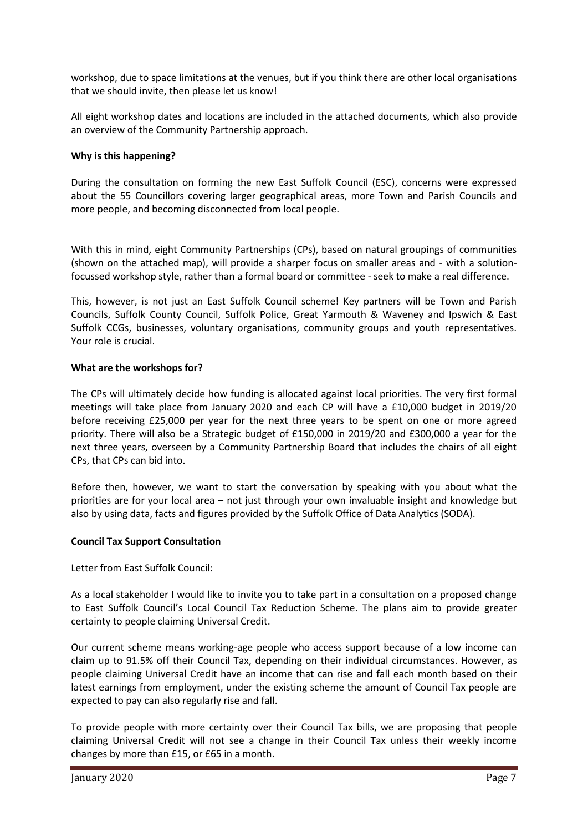workshop, due to space limitations at the venues, but if you think there are other local organisations that we should invite, then please let us know!

All eight workshop dates and locations are included in the attached documents, which also provide an overview of the Community Partnership approach.

## **Why is this happening?**

During the consultation on forming the new East Suffolk Council (ESC), concerns were expressed about the 55 Councillors covering larger geographical areas, more Town and Parish Councils and more people, and becoming disconnected from local people.

With this in mind, eight Community Partnerships (CPs), based on natural groupings of communities (shown on the attached map), will provide a sharper focus on smaller areas and - with a solutionfocussed workshop style, rather than a formal board or committee - seek to make a real difference.

This, however, is not just an East Suffolk Council scheme! Key partners will be Town and Parish Councils, Suffolk County Council, Suffolk Police, Great Yarmouth & Waveney and Ipswich & East Suffolk CCGs, businesses, voluntary organisations, community groups and youth representatives. Your role is crucial.

## **What are the workshops for?**

The CPs will ultimately decide how funding is allocated against local priorities. The very first formal meetings will take place from January 2020 and each CP will have a £10,000 budget in 2019/20 before receiving £25,000 per year for the next three years to be spent on one or more agreed priority. There will also be a Strategic budget of £150,000 in 2019/20 and £300,000 a year for the next three years, overseen by a Community Partnership Board that includes the chairs of all eight CPs, that CPs can bid into.

Before then, however, we want to start the conversation by speaking with you about what the priorities are for your local area – not just through your own invaluable insight and knowledge but also by using data, facts and figures provided by the Suffolk Office of Data Analytics (SODA).

## **Council Tax Support Consultation**

Letter from East Suffolk Council:

As a local stakeholder I would like to invite you to take part in a consultation on a proposed change to East Suffolk Council's Local Council Tax Reduction Scheme. The plans aim to provide greater certainty to people claiming Universal Credit.

Our current scheme means working-age people who access support because of a low income can claim up to 91.5% off their Council Tax, depending on their individual circumstances. However, as people claiming Universal Credit have an income that can rise and fall each month based on their latest earnings from employment, under the existing scheme the amount of Council Tax people are expected to pay can also regularly rise and fall.

To provide people with more certainty over their Council Tax bills, we are proposing that people claiming Universal Credit will not see a change in their Council Tax unless their weekly income changes by more than £15, or £65 in a month.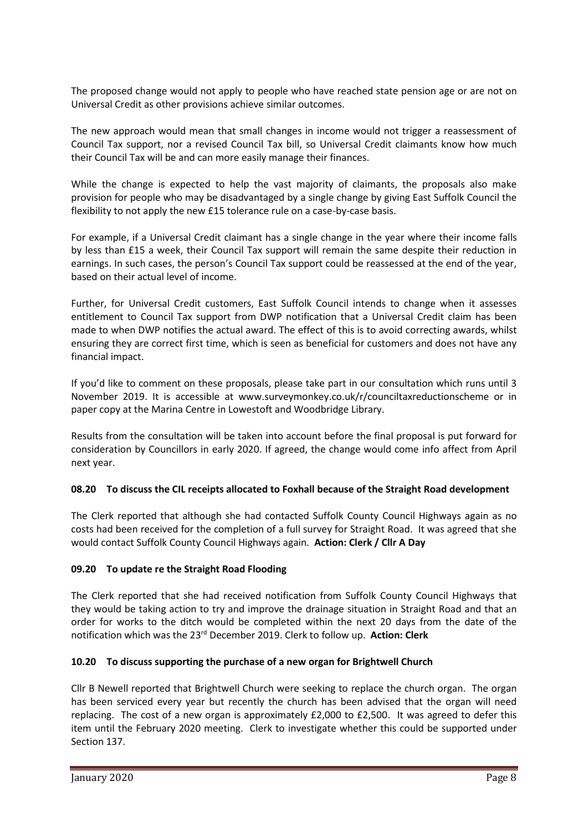The proposed change would not apply to people who have reached state pension age or are not on Universal Credit as other provisions achieve similar outcomes.

The new approach would mean that small changes in income would not trigger a reassessment of Council Tax support, nor a revised Council Tax bill, so Universal Credit claimants know how much their Council Tax will be and can more easily manage their finances.

While the change is expected to help the vast majority of claimants, the proposals also make provision for people who may be disadvantaged by a single change by giving East Suffolk Council the flexibility to not apply the new £15 tolerance rule on a case-by-case basis.

For example, if a Universal Credit claimant has a single change in the year where their income falls by less than £15 a week, their Council Tax support will remain the same despite their reduction in earnings. In such cases, the person's Council Tax support could be reassessed at the end of the year, based on their actual level of income.

Further, for Universal Credit customers, East Suffolk Council intends to change when it assesses entitlement to Council Tax support from DWP notification that a Universal Credit claim has been made to when DWP notifies the actual award. The effect of this is to avoid correcting awards, whilst ensuring they are correct first time, which is seen as beneficial for customers and does not have any financial impact.

If you'd like to comment on these proposals, please take part in our consultation which runs until 3 November 2019. It is accessible at www.surveymonkey.co.uk/r/counciltaxreductionscheme or in paper copy at the Marina Centre in Lowestoft and Woodbridge Library.

Results from the consultation will be taken into account before the final proposal is put forward for consideration by Councillors in early 2020. If agreed, the change would come info affect from April next year.

## **08.20 To discuss the CIL receipts allocated to Foxhall because of the Straight Road development**

The Clerk reported that although she had contacted Suffolk County Council Highways again as no costs had been received for the completion of a full survey for Straight Road. It was agreed that she would contact Suffolk County Council Highways again. **Action: Clerk / Cllr A Day**

# **09.20 To update re the Straight Road Flooding**

The Clerk reported that she had received notification from Suffolk County Council Highways that they would be taking action to try and improve the drainage situation in Straight Road and that an order for works to the ditch would be completed within the next 20 days from the date of the notification which was the 23<sup>rd</sup> December 2019. Clerk to follow up. Action: Clerk

## **10.20 To discuss supporting the purchase of a new organ for Brightwell Church**

Cllr B Newell reported that Brightwell Church were seeking to replace the church organ. The organ has been serviced every year but recently the church has been advised that the organ will need replacing. The cost of a new organ is approximately £2,000 to £2,500. It was agreed to defer this item until the February 2020 meeting. Clerk to investigate whether this could be supported under Section 137.